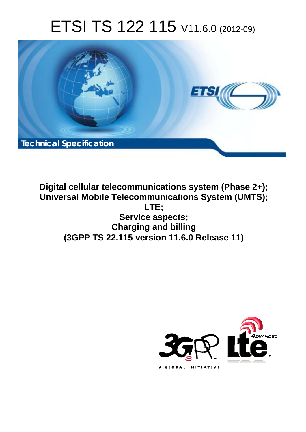# ETSI TS 122 115 V11.6.0 (2012-09)



**Digital cellular telecommunications system (Phase 2+); Universal Mobile Telecommunications System (UMTS); LTE; Service aspects; Charging and billing (3GPP TS 22.115 version 11.6.0 Release 11)** 

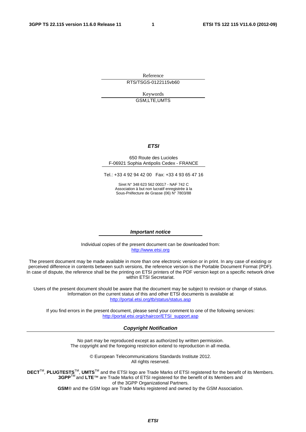Reference RTS/TSGS-0122115vb60

> Keywords GSM,LTE,UMTS

#### *ETSI*

#### 650 Route des Lucioles F-06921 Sophia Antipolis Cedex - FRANCE

Tel.: +33 4 92 94 42 00 Fax: +33 4 93 65 47 16

Siret N° 348 623 562 00017 - NAF 742 C Association à but non lucratif enregistrée à la Sous-Préfecture de Grasse (06) N° 7803/88

#### *Important notice*

Individual copies of the present document can be downloaded from: [http://www.etsi.org](http://www.etsi.org/)

The present document may be made available in more than one electronic version or in print. In any case of existing or perceived difference in contents between such versions, the reference version is the Portable Document Format (PDF). In case of dispute, the reference shall be the printing on ETSI printers of the PDF version kept on a specific network drive within ETSI Secretariat.

Users of the present document should be aware that the document may be subject to revision or change of status. Information on the current status of this and other ETSI documents is available at <http://portal.etsi.org/tb/status/status.asp>

If you find errors in the present document, please send your comment to one of the following services: [http://portal.etsi.org/chaircor/ETSI\\_support.asp](http://portal.etsi.org/chaircor/ETSI_support.asp)

#### *Copyright Notification*

No part may be reproduced except as authorized by written permission. The copyright and the foregoing restriction extend to reproduction in all media.

> © European Telecommunications Standards Institute 2012. All rights reserved.

DECT<sup>™</sup>, PLUGTESTS<sup>™</sup>, UMTS<sup>™</sup> and the ETSI logo are Trade Marks of ETSI registered for the benefit of its Members. **3GPP**TM and **LTE**™ are Trade Marks of ETSI registered for the benefit of its Members and of the 3GPP Organizational Partners.

**GSM**® and the GSM logo are Trade Marks registered and owned by the GSM Association.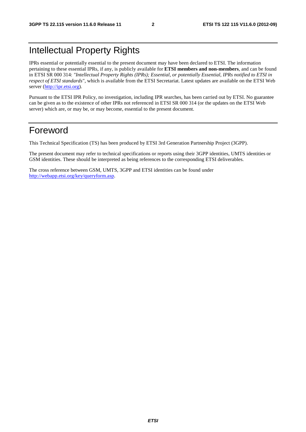### Intellectual Property Rights

IPRs essential or potentially essential to the present document may have been declared to ETSI. The information pertaining to these essential IPRs, if any, is publicly available for **ETSI members and non-members**, and can be found in ETSI SR 000 314: *"Intellectual Property Rights (IPRs); Essential, or potentially Essential, IPRs notified to ETSI in respect of ETSI standards"*, which is available from the ETSI Secretariat. Latest updates are available on the ETSI Web server [\(http://ipr.etsi.org](http://webapp.etsi.org/IPR/home.asp)).

Pursuant to the ETSI IPR Policy, no investigation, including IPR searches, has been carried out by ETSI. No guarantee can be given as to the existence of other IPRs not referenced in ETSI SR 000 314 (or the updates on the ETSI Web server) which are, or may be, or may become, essential to the present document.

### Foreword

This Technical Specification (TS) has been produced by ETSI 3rd Generation Partnership Project (3GPP).

The present document may refer to technical specifications or reports using their 3GPP identities, UMTS identities or GSM identities. These should be interpreted as being references to the corresponding ETSI deliverables.

The cross reference between GSM, UMTS, 3GPP and ETSI identities can be found under [http://webapp.etsi.org/key/queryform.asp.](http://webapp.etsi.org/key/queryform.asp)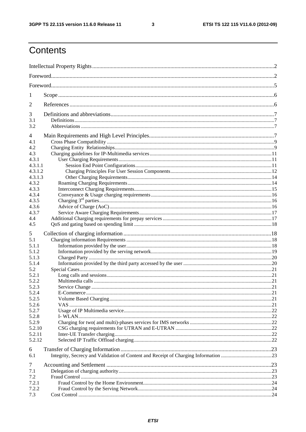$\mathbf{3}$ 

## Contents

| 1       |  |  |  |  |  |  |  |
|---------|--|--|--|--|--|--|--|
| 2       |  |  |  |  |  |  |  |
| 3       |  |  |  |  |  |  |  |
| 3.1     |  |  |  |  |  |  |  |
| 3.2     |  |  |  |  |  |  |  |
| 4       |  |  |  |  |  |  |  |
| 4.1     |  |  |  |  |  |  |  |
| 4.2     |  |  |  |  |  |  |  |
| 4.3     |  |  |  |  |  |  |  |
| 4.3.1   |  |  |  |  |  |  |  |
| 4.3.1.1 |  |  |  |  |  |  |  |
| 4.3.1.2 |  |  |  |  |  |  |  |
| 4.3.1.3 |  |  |  |  |  |  |  |
| 4.3.2   |  |  |  |  |  |  |  |
| 4.3.3   |  |  |  |  |  |  |  |
| 4.3.4   |  |  |  |  |  |  |  |
| 4.3.5   |  |  |  |  |  |  |  |
| 4.3.6   |  |  |  |  |  |  |  |
| 4.3.7   |  |  |  |  |  |  |  |
| 4.4     |  |  |  |  |  |  |  |
| 4.5     |  |  |  |  |  |  |  |
| 5       |  |  |  |  |  |  |  |
| 5.1     |  |  |  |  |  |  |  |
| 5.1.1   |  |  |  |  |  |  |  |
| 5.1.2   |  |  |  |  |  |  |  |
| 5.1.3   |  |  |  |  |  |  |  |
| 5.1.4   |  |  |  |  |  |  |  |
| 5.2     |  |  |  |  |  |  |  |
| 5.2.1   |  |  |  |  |  |  |  |
| 5.2.2   |  |  |  |  |  |  |  |
| 5.2.3   |  |  |  |  |  |  |  |
| 5.2.4   |  |  |  |  |  |  |  |
| 5.2.5   |  |  |  |  |  |  |  |
| 5.2.6   |  |  |  |  |  |  |  |
| 5.2.7   |  |  |  |  |  |  |  |
| 5.2.8   |  |  |  |  |  |  |  |
| 5.2.9   |  |  |  |  |  |  |  |
| 5.2.10  |  |  |  |  |  |  |  |
| 5.2.11  |  |  |  |  |  |  |  |
| 5.2.12  |  |  |  |  |  |  |  |
| 6       |  |  |  |  |  |  |  |
| 6.1     |  |  |  |  |  |  |  |
| 7       |  |  |  |  |  |  |  |
| 7.1     |  |  |  |  |  |  |  |
| 7.2     |  |  |  |  |  |  |  |
| 7.2.1   |  |  |  |  |  |  |  |
| 7.2.2   |  |  |  |  |  |  |  |
| 7.3     |  |  |  |  |  |  |  |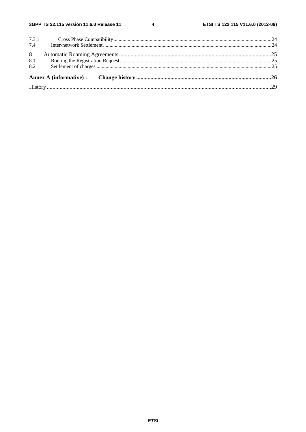$\overline{\mathbf{4}}$ 

| 8.2 |     |       |  |
|-----|-----|-------|--|
|     | 8.1 |       |  |
|     | 8   |       |  |
|     |     |       |  |
| 7.4 |     | 7.3.1 |  |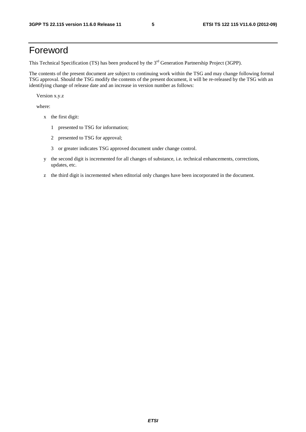### Foreword

This Technical Specification (TS) has been produced by the 3<sup>rd</sup> Generation Partnership Project (3GPP).

The contents of the present document are subject to continuing work within the TSG and may change following formal TSG approval. Should the TSG modify the contents of the present document, it will be re-released by the TSG with an identifying change of release date and an increase in version number as follows:

Version x.y.z

where:

- x the first digit:
	- 1 presented to TSG for information;
	- 2 presented to TSG for approval;
	- 3 or greater indicates TSG approved document under change control.
- y the second digit is incremented for all changes of substance, i.e. technical enhancements, corrections, updates, etc.
- z the third digit is incremented when editorial only changes have been incorporated in the document.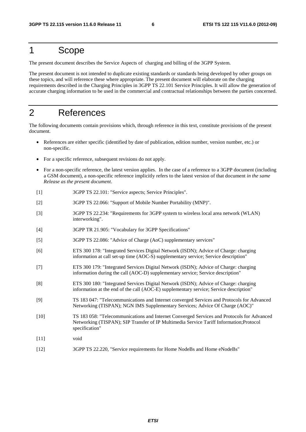### 1 Scope

The present document describes the Service Aspects of charging and billing of the 3GPP System.

The present document is not intended to duplicate existing standards or standards being developed by other groups on these topics, and will reference these where appropriate. The present document will elaborate on the charging requirements described in the Charging Principles in 3GPP TS 22.101 Service Principles. It will allow the generation of accurate charging information to be used in the commercial and contractual relationships between the parties concerned.

### 2 References

The following documents contain provisions which, through reference in this text, constitute provisions of the present document.

- References are either specific (identified by date of publication, edition number, version number, etc.) or non-specific.
- For a specific reference, subsequent revisions do not apply.
- For a non-specific reference, the latest version applies. In the case of a reference to a 3GPP document (including a GSM document), a non-specific reference implicitly refers to the latest version of that document *in the same Release as the present document*.
- [1] 3GPP TS 22.101: "Service aspects; Service Principles".
- [2] 3GPP TS 22.066: "Support of Mobile Number Portability (MNP)".
- [3] 3GPP TS 22.234: "Requirements for 3GPP system to wireless local area network (WLAN) interworking".
- [4] 3GPP TR 21.905: "Vocabulary for 3GPP Specifications"
- [5] 3GPP TS 22.086: "Advice of Charge (AoC) supplementary services"
- [6] ETS 300 178: "Integrated Services Digital Network (ISDN); Advice of Charge: charging information at call set-up time (AOC-S) supplementary service; Service description"
- [7] ETS 300 179: "Integrated Services Digital Network (ISDN); Advice of Charge: charging information during the call (AOC-D) supplementary service; Service description"
- [8] ETS 300 180: "Integrated Services Digital Network (ISDN); Advice of Charge: charging information at the end of the call (AOC-E) supplementary service; Service description"
- [9] TS 183 047: "Telecommunications and Internet converged Services and Protocols for Advanced Networking (TISPAN); NGN IMS Supplementary Services; Advice Of Charge (AOC)"
- [10] TS 183 058: "Telecommunications and Internet Converged Services and Protocols for Advanced Networking (TISPAN); SIP Transfer of IP Multimedia Service Tariff Information;Protocol specification"
- [11] void
- [12] 3GPP TS 22.220, "Service requirements for Home NodeBs and Home eNodeBs"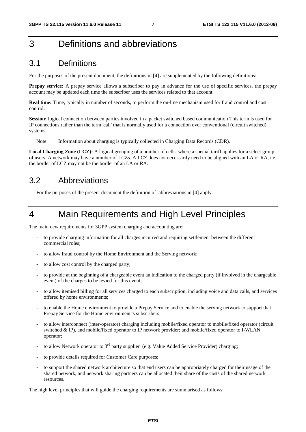### 3 Definitions and abbreviations

#### 3.1 Definitions

For the purposes of the present document, the definitions in [4] are supplemented by the following definitions:

**Prepay service:** A prepay service allows a subscriber to pay in advance for the use of specific services, the prepay account may be updated each time the subscriber uses the services related to that account.

**Real time:** Time, typically in number of seconds, to perform the on-line mechanism used for fraud control and cost control.

**Session:** logical connection between parties involved in a packet switched based communication This term is used for IP connections rather than the term 'call' that is normally used for a connection over conventional (circuit switched) systems.

Note: Information about charging is typically collected in Charging Data Records (CDR).

Local Charging Zone (LCZ): A logical grouping of a number of cells, where a special tariff applies for a select group of users. A network may have a number of LCZs. A LCZ does not necessarily need to be aligned with an LA or RA, i.e. the border of LCZ may not be the border of an LA or RA.

#### 3.2 Abbreviations

For the purposes of the present document the definition of abbreviations in [4] apply.

### 4 Main Requirements and High Level Principles

The main new requirements for 3GPP system charging and accounting are:

- to provide charging information for all charges incurred and requiring settlement between the different commercial roles;
- to allow fraud control by the Home Environment and the Serving network;
- to allow cost control by the charged party;
- to provide at the beginning of a chargeable event an indication to the charged party (if involved in the chargeable event) of the charges to be levied for this event;
- to allow itemised billing for all services charged to each subscription, including voice and data calls, and services offered by home environments;
- to enable the Home environment to provide a Prepay Service and to enable the serving network to support that Prepay Service for the Home environment"s subscribers;
- to allow interconnect (inter-operator) charging including mobile/fixed operator to mobile/fixed operator (circuit switched & IP), and mobile/fixed operator to IP network provider; and mobile/fixed operator to I-WLAN operator;
- to allow Network operator to  $3<sup>rd</sup>$  party supplier (e.g. Value Added Service Provider) charging;
- to provide details required for Customer Care purposes:
- to support the shared network architecture so that end users can be appropriately charged for their usage of the shared network, and network sharing partners can be allocated their share of the costs of the shared network resources.

The high level principles that will guide the charging requirements are summarised as follows: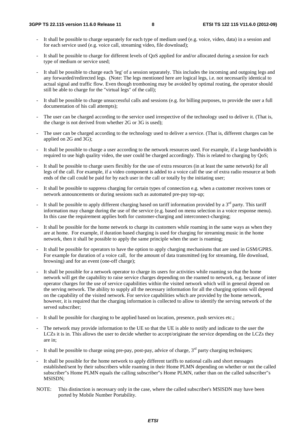- It shall be possible to charge separately for each type of medium used (e.g. voice, video, data) in a session and for each service used (e.g. voice call, streaming video, file download);
- It shall be possible to charge for different levels of QoS applied for and/or allocated during a session for each type of medium or service used;
- It shall be possible to charge each 'leg' of a session separately. This includes the incoming and outgoing legs and any forwarded/redirected legs. (Note: The legs mentioned here are logical legs, i.e. not necessarily identical to actual signal and traffic flow. Even though tromboning may be avoided by optimal routing, the operator should still be able to charge for the "virtual legs" of the call);
- It shall be possible to charge unsuccessful calls and sessions (e.g. for billing purposes, to provide the user a full documentation of his call attempts);
- The user can be charged according to the service used irrespective of the technology used to deliver it. (That is, the charge is not derived from whether 2G or 3G is used);
- The user can be charged according to the technology used to deliver a service. (That is, different charges can be applied on 2G and 3G);
- It shall be possible to charge a user according to the network resources used. For example, if a large bandwidth is required to use high quality video, the user could be charged accordingly. This is related to charging by QoS;
- It shall be possible to charge users flexibly for the use of extra resources (in at least the same network) for all legs of the call. For example, if a video component is added to a voice call the use of extra radio resource at both ends of the call could be paid for by each user in the call or totally by the initiating user;
- It shall be possible to suppress charging for certain types of connection e.g. when a customer receives tones or network announcements or during sessions such as automated pre-pay top-up;
- It shall be possible to apply different charging based on tariff information provided by a  $3<sup>rd</sup>$  party. This tariff information may change during the use of the service (e.g. based on menu selection in a voice response menu). In this case the requirement applies both for customer-charging and interconnect-charging;
- It shall be possible for the home network to charge its customers while roaming in the same ways as when they are at home. For example, if duration based charging is used for charging for streaming music in the home network, then it shall be possible to apply the same principle when the user is roaming;
- It shall be possible for operators to have the option to apply charging mechanisms that are used in GSM/GPRS. For example for duration of a voice call, for the amount of data transmitted (eg for streaming, file download, browsing) and for an event (one-off charge);
- It shall be possible for a network operator to charge its users for activities while roaming so that the home network will get the capability to raise service charges depending on the roamed to network, e.g. because of inter operator charges for the use of service capabilities within the visited network which will in general depend on the serving network. The ability to supply all the necessary information for all the charging options will depend on the capability of the visited network. For service capabilities which are provided by the home network, however, it is required that the charging information is collected to allow to identify the serving network of the served subscriber;
- It shall be possible for charging to be applied based on location, presence, push services etc.;
- The network may provide information to the UE so that the UE is able to notify and indicate to the user the LCZs it is in. This allows the user to decide whether to accept/originate the service depending on the LCZs they are in;
- It shall be possible to charge using pre-pay, post-pay, advice of charge,  $3<sup>rd</sup>$  party charging techniques;
- It shall be possible for the home network to apply different tariffs to national calls and short messages established/sent by their subscribers while roaming in their Home PLMN depending on whether or not the called subscriber"s Home PLMN equals the calling subscriber"s Home PLMN, rather than on the called subscriber"s MSISDN;
- NOTE: This distinction is necessary only in the case, where the called subscriber's MSISDN may have been ported by Mobile Number Portability.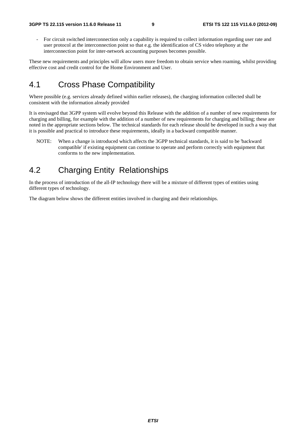- For circuit switched interconnection only a capability is required to collect information regarding user rate and user protocol at the interconnection point so that e.g. the identification of CS video telephony at the interconnection point for inter-network accounting purposes becomes possible.

These new requirements and principles will allow users more freedom to obtain service when roaming, whilst providing effective cost and credit control for the Home Environment and User.

### 4.1 Cross Phase Compatibility

Where possible (e.g. services already defined within earlier releases), the charging information collected shall be consistent with the information already provided

It is envisaged that 3GPP system will evolve beyond this Release with the addition of a number of new requirements for charging and billing, for example with the addition of a number of new requirements for charging and billing; these are noted in the appropriate sections below. The technical standards for each release should be developed in such a way that it is possible and practical to introduce these requirements, ideally in a backward compatible manner.

NOTE: When a change is introduced which affects the 3GPP technical standards, it is said to be 'backward compatible' if existing equipment can continue to operate and perform correctly with equipment that conforms to the new implementation.

### 4.2 Charging Entity Relationships

In the process of introduction of the all-IP technology there will be a mixture of different types of entities using different types of technology.

The diagram below shows the different entities involved in charging and their relationships.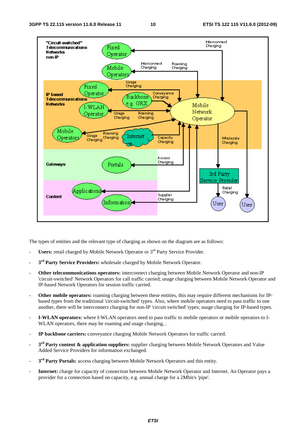

The types of entities and the relevant type of charging as shown on the diagram are as follows:

- Users: retail charged by Mobile Network Operator or 3<sup>rd</sup> Party Service Provider.
- 3<sup>rd</sup> Party Service Providers: wholesale charged by Mobile Network Operator.
- **Other telecommunications operators:** interconnect charging between Mobile Network Operator and non-IP 'circuit-switched' Network Operators for call traffic carried; usage charging between Mobile Network Operator and IP-based Network Operators for session traffic carried.
- **Other mobile operators:** roaming charging between these entities, this may require different mechanisms for IPbased types from the traditional 'circuit-switched' types. Also, where mobile operators need to pass traffic to one another, there will be interconnect charging for non-IP 'circuit switched' types; usage charging for IP-based types.
- **I-WLAN operators:** where I-WLAN operators need to pass traffic to mobile operators or mobile operators to I-WLAN operators, there may be roaming and usage charging, .
- **IP backbone carriers:** conveyance charging Mobile Network Operators for traffic carried.
- **3rd Party content & application suppliers:** supplier charging between Mobile Network Operators and Value Added Service Providers for information exchanged.
- **3rd Party Portals:** access charging between Mobile Network Operators and this entity.
- **Internet:** charge for capacity of connection between Mobile Network Operator and Internet. An Operator pays a provider for a connection based on capacity, e.g. annual charge for a 2Mbit/s 'pipe'.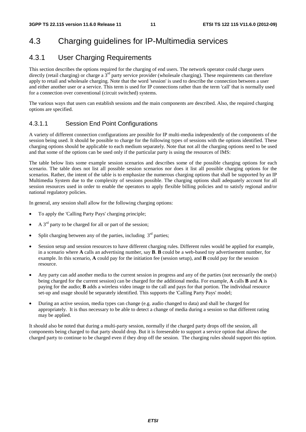### 4.3 Charging guidelines for IP-Multimedia services

#### 4.3.1 User Charging Requirements

This section describes the options required for the charging of end users. The network operator could charge users directly (retail charging) or charge a  $3<sup>rd</sup>$  party service provider (wholesale charging). These requirements can therefore apply to retail and wholesale charging. Note that the word 'session' is used to describe the connection between a user and either another user or a service. This term is used for IP connections rather than the term 'call' that is normally used for a connection over conventional (circuit switched) systems.

The various ways that users can establish sessions and the main components are described. Also, the required charging options are specified.

#### 4.3.1.1 Session End Point Configurations

A variety of different connection configurations are possible for IP multi-media independently of the components of the session being used. It should be possible to charge for the following types of sessions with the options identified. These charging options should be applicable to each medium separately. Note that not all the charging options need to be used and that some of the options can be used only if the particular party is using the resources of IMS:

The table below lists some example session scenarios and describes some of the possible charging options for each scenario. The table does not list all possible session scenarios nor does it list all possible charging options for the scenarios. Rather, the intent of the table is to emphasize the numerous charging options that shall be supported by an IP Multimedia System due to the complexity of sessions possible. The charging options shall adequately account for all session resources used in order to enable the operators to apply flexible billing policies and to satisfy regional and/or national regulatory policies.

In general, any session shall allow for the following charging options:

- To apply the 'Calling Party Pays' charging principle;
- A  $3<sup>rd</sup>$  party to be charged for all or part of the session:
- Split charging between any of the parties, including  $3<sup>rd</sup>$  parties;
- Session setup and session resources to have different charging rules. Different rules would be applied for example, in a scenario where **A** calls an advertising number, say **B**. **B** could be a web-based toy advertisement number, for example. In this scenario, **A** could pay for the initiation fee (session setup), and **B** could pay for the session resource.
- Any party can add another media to the current session in progress and any of the parties (not necessarily the one(s) being charged for the current session) can be charged for the additional media. For example, **A** calls **B** and **A** is paying for the audio; **B** adds a wireless video image to the call and pays for that portion. The individual resource set-up and usage should be separately identified. This supports the 'Calling Party Pays' model;
- During an active session, media types can change (e.g. audio changed to data) and shall be charged for appropriately. It is thus necessary to be able to detect a change of media during a session so that different rating may be applied.

It should also be noted that during a multi-party session, normally if the charged party drops off the session, all components being charged to that party should drop. But it is foreseeable to support a service option that allows the charged party to continue to be charged even if they drop off the session. The charging rules should support this option.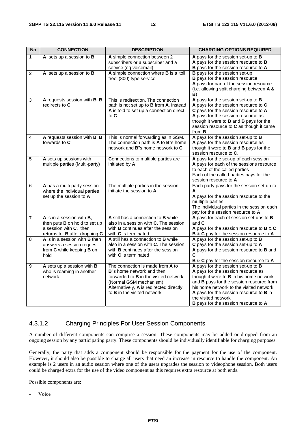| <b>No</b>      | <b>CONNECTION</b>                                                                                                            | <b>DESCRIPTION</b>                                                                                                                                                                                                                            | <b>CHARGING OPTIONS REQUIRED</b>                                                                                                                                                                                                                                                                                                                 |
|----------------|------------------------------------------------------------------------------------------------------------------------------|-----------------------------------------------------------------------------------------------------------------------------------------------------------------------------------------------------------------------------------------------|--------------------------------------------------------------------------------------------------------------------------------------------------------------------------------------------------------------------------------------------------------------------------------------------------------------------------------------------------|
| $\mathbf{1}$   | A sets up a session to B                                                                                                     | A simple connection between 2<br>subscribers or a subscriber and a<br>service (eg voicemail)                                                                                                                                                  | A pays for the session set-up to B<br>A pays for the session resource to B<br>B pays for the session resource to A                                                                                                                                                                                                                               |
| $\overline{2}$ | A sets up a session to B                                                                                                     | A simple connection where B is a 'toll<br>free' (800) type service                                                                                                                                                                            | <b>B</b> pays for the session set-up<br><b>B</b> pays for the session resource<br>A pays for part of the session resource<br>(i.e. allowing split charging between A &<br>B)                                                                                                                                                                     |
| 3              | A requests session with B, B<br>redirects to C                                                                               | This is redirection. The connection<br>path is not set up to B from A, instead<br>A is told to set up a connection direct<br>to $C$                                                                                                           | A pays for the session set-up to B<br>A pays for the session resource to C<br>C pays for the session resource to A<br>A pays for the session resource as<br>though it were to <b>B</b> and <b>B</b> pays for the<br>session resource to C as though it came<br>from <b>B</b>                                                                     |
| 4              | A requests session with B, B<br>forwards to C                                                                                | This is normal forwarding as in GSM.<br>The connection path is $\overline{A}$ to $\overline{B}$ "s home<br>network and B"s home network to C                                                                                                  | A pays for the session set-up to B<br>A pays for the session resource as<br>though it were to <b>B</b> and <b>B</b> pays for the<br>session resource to C.                                                                                                                                                                                       |
| 5              | A sets up sessions with<br>multiple parties (Multi-party)                                                                    | Connections to multiple parties are<br>initiated by A                                                                                                                                                                                         | A pays for the set-up of each session<br>A pays for each of the sessions resource<br>to each of the called parties<br>Each of the called parties pays for the<br>session resource to A                                                                                                                                                           |
| 6              | A has a multi-party session<br>where the individual parties<br>set up the session to A                                       | The multiple parties in the session<br>initiate the session to A                                                                                                                                                                              | Each party pays for the session set-up to<br>A<br>A pays for the session resource to the<br>multiple parties<br>The individual parties in the session each<br>pay for the session resource to A                                                                                                                                                  |
| $\overline{7}$ | A is in a session with B,<br>then puts <b>B</b> on hold to set up<br>a session with C, then<br>returns to B after dropping C | A still has a connection to B while<br>also in a session with C. The session<br>with <b>B</b> continues after the session<br>with C is terminated                                                                                             | A pays for each of session set-ups to B<br>and $C$<br>A pays for the session resource to B & C<br><b>B</b> & <b>C</b> pay for the session resource to A                                                                                                                                                                                          |
| 8              | A is in a session with <b>B</b> then<br>answers a session request<br>from C while keeping B on<br>hold                       | A still has a connection to B while<br>also in a session with C. The session<br>with <b>B</b> continues after the session<br>with <b>C</b> is terminated                                                                                      | A pays for the session set-up to B<br>C pays for the session set-up to A<br>A pays for the session resource to B and<br>С<br><b>B &amp; C</b> pay for the session resource to A                                                                                                                                                                  |
| 9              | A sets up a session with B<br>who is roaming in another<br>network                                                           | The connection is made from A to<br><b>B</b> <sup>"</sup> s home network and then<br>forwarded to <b>B</b> in the visited network.<br>(Normal GSM mechanism)<br>Alternatively, A is redirected directly<br>to <b>B</b> in the visited network | A pays for the session set-up to B<br>A pays for the session resource as<br>though it were to <b>B</b> in his home network<br>and B pays for the session resource from<br>his home network to the visited network<br>A pays for the session resource to <b>B</b> in<br>the visited network<br><b>B</b> pays for the session resource to <b>A</b> |

#### 4.3.1.2 Charging Principles For User Session Components

A number of different components can comprise a session. These components may be added or dropped from an ongoing session by any participating party. These components should be individually identifiable for charging purposes.

Generally, the party that adds a component should be responsible for the payment for the use of the component. However, it should also be possible to charge all users that need an increase in resource to handle the component. An example is 2 users in an audio session where one of the users upgrades the session to videophone session. Both users could be charged extra for the use of the video component as this requires extra resource at both ends.

Possible components are:

- Voice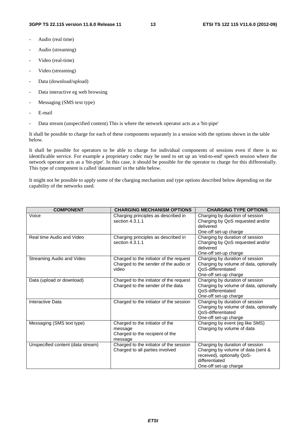- Audio (real time)
- Audio (streaming)
- Video (real-time)
- Video (streaming)
- Data (download/upload)
- Data interactive eg web browsing
- Messaging (SMS text type)
- E-mail
- Data stream (unspecified content) This is where the network operator acts as a 'bit-pipe'

It shall be possible to charge for each of these components separately in a session with the options shown in the table below.

It shall be possible for operators to be able to charge for individual components of sessions even if there is no identificable service. For example a proprietary codec may be used to set up an 'end-to-end' speech session where the network operator acts as a 'bit-pipe'. In this case, it should be possible for the operator to charge for this differentially. This type of component is called 'datastream' in the table below.

It might not be possible to apply some of the charging mechanism and type options described below depending on the capability of the networks used.

| <b>COMPONENT</b>                  | <b>CHARGING MECHANISM OPTIONS</b>                                                         | <b>CHARGING TYPE OPTIONS</b>                                                                                                                   |
|-----------------------------------|-------------------------------------------------------------------------------------------|------------------------------------------------------------------------------------------------------------------------------------------------|
| Voice                             | Charging principles as described in<br>section 4.3.1.1                                    | Charging by duration of session<br>Charging by QoS requested and/or<br>delivered                                                               |
|                                   |                                                                                           | One-off set-up charge                                                                                                                          |
| Real time Audio and Video         | Charging principles as described in<br>section 4.3.1.1                                    | Charging by duration of session<br>Charging by QoS requested and/or<br>delivered<br>One-off set-up charge                                      |
| Streaming Audio and Video         | Charged to the initiator of the request<br>Charged to the sender of the audio or<br>video | Charging by duration of session<br>Charging by volume of data, optionally<br>QoS-differentiated<br>One-off set-up charge                       |
| Data (upload or download)         | Charged to the initiator of the request<br>Charged to the sender of the data              | Charging by duration of session<br>Charging by volume of data, optionally<br>QoS-differentiated<br>One-off set-up charge                       |
| Interactive Data                  | Charged to the initiator of the session                                                   | Charging by duration of session<br>Charging by volume of data, optionally<br>QoS-differentiated<br>One-off set-up charge                       |
| Messaging (SMS text type)         | Charged to the initiator of the<br>message<br>Charged to the recipient of the<br>message  | Charging by event (eg like SMS)<br>Charging by volume of data                                                                                  |
| Unspecified content (data stream) | Charged to the initiator of the session<br>Charged to all parties involved                | Charging by duration of session<br>Charging by volume of data (sent &<br>received), optionally QoS-<br>differentiated<br>One-off set-up charge |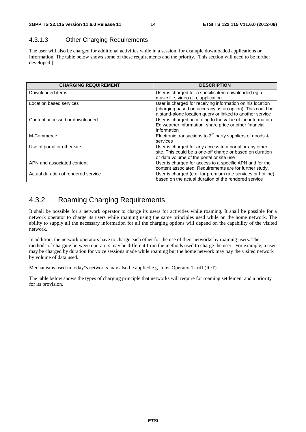#### 4.3.1.3 Other Charging Requirements

The user will also be charged for additional activities while in a session, for example downloaded applications or information. The table below shows some of these requirements and the priority. [This section will need to be further developed.]

| <b>CHARGING REQUIREMENT</b>         | <b>DESCRIPTION</b>                                                                                                                                                                 |
|-------------------------------------|------------------------------------------------------------------------------------------------------------------------------------------------------------------------------------|
| Downloaded items                    | User is charged for a specific item downloaded eg a<br>music file, video clip, application                                                                                         |
| Location based services             | User is charged for receiving information on his location<br>(charging based on accuracy as an option). This could be<br>a stand-alone location query or linked to another service |
| Content accessed or downloaded      | User is charged according to the value of the information.<br>Eg weather information, share price or other financial<br>information                                                |
| M-Commerce                          | Electronic transactions to $3^{rd}$ party suppliers of goods &<br>services                                                                                                         |
| Use of portal or other site         | User is charged for any access to a portal or any other<br>site. This could be a one-off charge or based on duration<br>or data volume of the portal or site use                   |
| APN and associated content          | User is charged for access to a specific APN and for the<br>content associated. Requirements are for further study.                                                                |
| Actual duration of rendered service | User is charged (e.g. for premium rate services or hotline)<br>based on the actual duration of the rendered service                                                                |

### 4.3.2 Roaming Charging Requirements

It shall be possible for a network operator to charge its users for activities while roaming. It shall be possible for a network operator to charge its users while roaming using the same principles used while on the home network. The ability to supply all the necessary information for all the charging options will depend on the capability of the visited network.

In addition, the network operators have to charge each other for the use of their networks by roaming users. The methods of charging between operators may be different from the methods used to charge the user. For example, a user may be charged by duration for voice sessions made while roaming but the home network may pay the visited network by volume of data used.

Mechanisms used in today"s networks may also be applied e.g. Inter-Operator Tariff (IOT).

The table below shows the types of charging principle that networks will require for roaming settlement and a priority for its provision.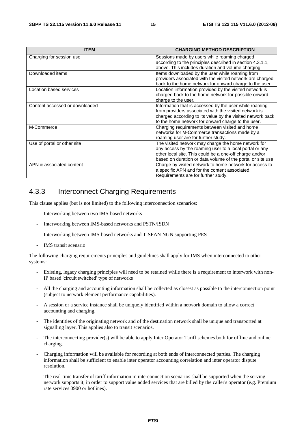| <b>ITEM</b>                    | <b>CHARGING METHOD DESCRIPTION</b>                                                                                                                                                                                                      |
|--------------------------------|-----------------------------------------------------------------------------------------------------------------------------------------------------------------------------------------------------------------------------------------|
| Charging for session use       | Sessions made by users while roaming charged<br>according to the principles described in section 4.3.1.1,<br>above. This includes duration and volume charging                                                                          |
| Downloaded items               | Items downloaded by the user while roaming from<br>providers associated with the visited network are charged<br>back to the home network for onward charge to the user                                                                  |
| Location based services        | Location information provided by the visited network is<br>charged back to the home network for possible onward<br>charge to the user.                                                                                                  |
| Content accessed or downloaded | Information that is accessed by the user while roaming<br>from providers associated with the visited network is<br>charged according to its value by the visited network back<br>to the home network for onward charge to the user.     |
| M-Commerce                     | Charging requirements between visited and home<br>networks for M-Commerce transactions made by a<br>roaming user are for further study.                                                                                                 |
| Use of portal or other site    | The visited network may charge the home network for<br>any access by the roaming user to a local portal or any<br>other local site. This could be a one-off charge and/or<br>based on duration or data volume of the portal or site use |
| APN & associated content       | Charge by visited network to home network for access to<br>a specific APN and for the content associated.<br>Requirements are for further study.                                                                                        |

#### 4.3.3 Interconnect Charging Requirements

This clause applies (but is not limited) to the following interconnection scenarios:

- Interworking between two IMS-based networks
- Interworking between IMS-based networks and PSTN/ISDN
- Interworking between IMS-based networks and TISPAN NGN supporting PES
- IMS transit scenario

The following charging requirements principles and guidelines shall apply for IMS when interconnected to other systems:

- Existing, legacy charging principles will need to be retained while there is a requirement to interwork with non-IP based 'circuit switched' type of networks
- All the charging and accounting information shall be collected as closest as possible to the interconnection point (subject to network element performance capabilities).
- A session or a service instance shall be uniquely identified within a network domain to allow a correct accounting and charging.
- The identities of the originating network and of the destination network shall be unique and transported at signalling layer. This applies also to transit scenarios.
- The interconnecting provider(s) will be able to apply Inter Operator Tariff schemes both for offline and online charging.
- Charging information will be available for recording at both ends of interconnected parties. The charging information shall be sufficient to enable inter operator accounting correlation and inter operator dispute resolution.
- The real-time transfer of tariff information in interconnection scenarios shall be supported when the serving network supports it, in order to support value added services that are billed by the caller's operator (e.g. Premium rate services 0900 or hotlines).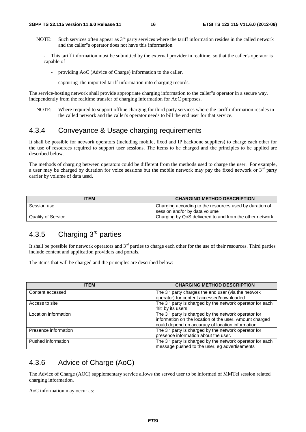- NOTE: Such services often appear as  $3<sup>rd</sup>$  party services where the tariff information resides in the called network and the caller"s operator does not have this information.
	- This tariff information must be submitted by the external provider in realtime, so that the caller's operator is capable of
		- providing AoC (Advice of Charge) information to the caller.
		- capturing the imported tariff information into charging records.

The service-hosting network shall provide appropriate charging information to the caller"s operator in a secure way, independently from the realtime transfer of charging information for AoC purposes.

NOTE: Where required to support offline charging for third party services where the tariff information resides in the called network and the caller's operator needs to bill the end user for that service.

#### 4.3.4 Conveyance & Usage charging requirements

It shall be possible for network operators (including mobile, fixed and IP backbone suppliers) to charge each other for the use of resources required to support user sessions. The items to be charged and the principles to be applied are described below.

The methods of charging between operators could be different from the methods used to charge the user. For example, a user may be charged by duration for voice sessions but the mobile network may pay the fixed network or  $3<sup>rd</sup>$  party carrier by volume of data used.

| <b>TEM</b>                | <b>CHARGING METHOD DESCRIPTION</b>                                                       |
|---------------------------|------------------------------------------------------------------------------------------|
| Session use               | Charging according to the resources used by duration of<br>session and/or by data volume |
| <b>Quality of Service</b> | Charging by QoS delivered to and from the other network                                  |

### 4.3.5 Charging 3<sup>rd</sup> parties

It shall be possible for network operators and  $3<sup>rd</sup>$  parties to charge each other for the use of their resources. Third parties include content and application providers and portals.

The items that will be charged and the principles are described below:

| <b>ITEM</b>          | <b>CHARGING METHOD DESCRIPTION</b>                               |
|----------------------|------------------------------------------------------------------|
| Content accessed     | The $3^{rd}$ party charges the end user (via the network         |
|                      | operator) for content accessed/downloaded                        |
| Access to site       | The $3rd$ party is charged by the network operator for each      |
|                      | 'hit' by its users                                               |
| Location information | The 3 <sup>rd</sup> party is charged by the network operator for |
|                      | information on the location of the user. Amount charged          |
|                      | could depend on accuracy of location information.                |
| Presence information | The $3^{rd}$ party is charged by the network operator for        |
|                      | presence information about the user.                             |
| Pushed information   | The $3^{rd}$ party is charged by the network operator for each   |
|                      | message pushed to the user, eg advertisements                    |

#### 4.3.6 Advice of Charge (AoC)

The Advice of Charge (AOC) supplementary service allows the served user to be informed of MMTel session related charging information.

AoC information may occur as: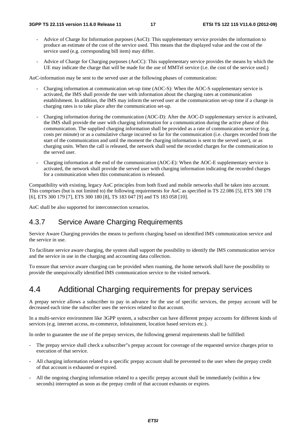- Advice of Charge for Information purposes (AoCI): This supplementary service provides the information to produce an estimate of the cost of the service used. This means that the displayed value and the cost of the service used (e.g. corresponding bill item) may differ.
- Advice of Charge for Charging purposes (AoCC): This supplementary service provides the means by which the UE may indicate the charge that will be made for the use of MMTel service (i.e. the cost of the service used.)

AoC-information may be sent to the served user at the following phases of communication:

- Charging information at communication set-up time (AOC-S): When the AOC-S supplementary service is activated, the IMS shall provide the user with information about the charging rates at communication establishment. In addition, the IMS may inform the served user at the communication set-up time if a change in charging rates is to take place after the communication set-up.
- Charging information during the communication (AOC-D): After the AOC-D supplementary service is activated, the IMS shall provide the user with charging information for a communication during the active phase of this communication. The supplied charging information shall be provided as a rate of communication service (e.g. costs per minute) or as a cumulative charge incurred so far for the communication (i.e. charges recorded from the start of the communication and until the moment the charging information is sent to the served user), or as charging units. When the call is released, the network shall send the recorded charges for the communication to the served user.
- Charging information at the end of the communication (AOC-E): When the AOC-E supplementary service is activated, the network shall provide the served user with charging information indicating the recorded charges for a communication when this communication is released.

Compatibility with existing, legacy AoC principles from both fixed and mobile networks shall be taken into account. This comprises (but is not limited to) the following requirements for AoC as specified in TS 22.086 [5], ETS 300 178 [6], ETS 300 179 [7], ETS 300 180 [8], TS 183 047 [9] and TS 183 058 [10].

AoC shall be also supported for interconnection scenarios.

#### 4.3.7 Service Aware Charging Requirements

Service Aware Charging provides the means to perform charging based on identified IMS communication service and the service in use.

To facilitate service aware charging, the system shall support the possibility to identify the IMS communication service and the service in use in the charging and accounting data collection.

To ensure that service aware charging can be provided when roaming, the home network shall have the possibility to provide the unequivocally identified IMS communication service to the visited network.

### 4.4 Additional Charging requirements for prepay services

A prepay service allows a subscriber to pay in advance for the use of specific services, the prepay account will be decreased each time the subscriber uses the services related to that account.

In a multi-service environment like 3GPP system, a subscriber can have different prepay accounts for different kinds of services (e.g. internet access, m-commerce, infotainment, location based services etc.).

In order to guarantee the use of the prepay services, the following general requirements shall be fulfilled:

- The prepay service shall check a subscriber"s prepay account for coverage of the requested service charges prior to execution of that service.
- All charging information related to a specific prepay account shall be prevented to the user when the prepay credit of that account is exhausted or expired.
- All the ongoing charging information related to a specific prepay account shall be immediately (within a few seconds) interrupted as soon as the prepay credit of that account exhausts or expires.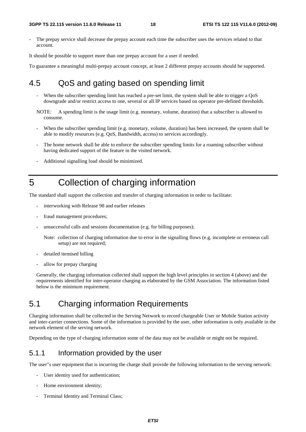The prepay service shall decrease the prepay account each time the subscriber uses the services related to that account.

It should be possible to support more than one prepay account for a user if needed.

To guarantee a meaningful multi-prepay account concept, at least 2 different prepay accounts should be supported.

### 4.5 QoS and gating based on spending limit

- When the subscriber spending limit has reached a pre-set limit, the system shall be able to trigger a  $QoS$ downgrade and/or restrict access to one, several or all IP services based on operator pre-defined thresholds.
- NOTE: A spending limit is the usage limit (e.g. monetary, volume, duration) that a subscriber is allowed to consume.
- When the subscriber spending limit (e.g. monetary, volume, duration) has been increased, the system shall be able to modify resources (e.g. QoS, Bandwidth, access) to services accordingly.
- The home network shall be able to enforce the subscriber spending limits for a roaming subscriber without having dedicated support of the feature in the visited network.
- Additional signalling load should be minimized.

### 5 Collection of charging information

The standard shall support the collection and transfer of charging information in order to facilitate:

- interworking with Release 98 and earlier releases
- fraud management procedures;
- unsuccessful calls and sessions documentation (e.g. for billing purposes);

Note: collection of charging information due to error in the signalling flows (e.g. incomplete or erroneus call setup) are not required;

- detailed itemised billing
- allow for prepay charging

Generally, the charging information collected shall support the high level principles in section 4 (above) and the requirements identified for inter-operator charging as elaborated by the GSM Association. The information listed below is the minimum requirement.

### 5.1 Charging information Requirements

Charging information shall be collected in the Serving Network to record chargeable User or Mobile Station activity and inter-carrier connections. Some of the information is provided by the user, other information is only available in the network element of the serving network.

Depending on the type of charging information some of the data may not be available or might not be required.

#### 5.1.1 Information provided by the user

The user"s user equipment that is incurring the charge shall provide the following information to the serving network:

- User identity used for authentication;
- Home environment identity;
- Terminal Identity and Terminal Class;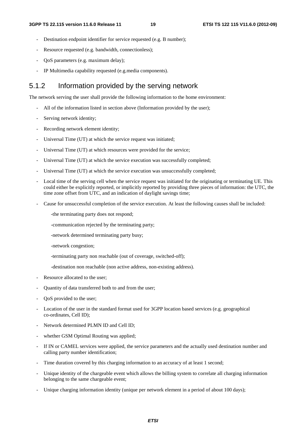- Destination endpoint identifier for service requested (e.g. B number);
- Resource requested (e.g. bandwidth, connectionless);
- QoS parameters (e.g. maximum delay);
- IP Multimedia capability requested (e.g.media components).

#### 5.1.2 Information provided by the serving network

The network serving the user shall provide the following information to the home environment:

- All of the information listed in section above (Information provided by the user);
- Serving network identity;
- Recording network element identity;
- Universal Time (UT) at which the service request was initiated;
- Universal Time (UT) at which resources were provided for the service;
- Universal Time (UT) at which the service execution was successfully completed:
- Universal Time (UT) at which the service execution was unsuccessfully completed;
- Local time of the serving cell when the service request was initiated for the originating or terminating UE. This could either be explicitly reported, or implicitly reported by providing three pieces of information: the UTC, the time zone offset from UTC, and an indication of daylight savings time;
- Cause for unsuccessful completion of the service execution. At least the following causes shall be included:

-the terminating party does not respond;

-communication rejected by the terminating party;

-network determined terminating party busy;

-network congestion;

- -terminating party non reachable (out of coverage, switched-off);
- -destination non reachable (non active address, non-existing address).
- Resource allocated to the user;
- Quantity of data transferred both to and from the user;
- QoS provided to the user;
- Location of the user in the standard format used for 3GPP location based services (e.g. geographical co-ordinates, Cell ID);
- Network determined PLMN ID and Cell ID;
- whether GSM Optimal Routing was applied;
- If IN or CAMEL services were applied, the service parameters and the actually used destination number and calling party number identification;
- Time duration covered by this charging information to an accuracy of at least 1 second;
- Unique identity of the chargeable event which allows the billing system to correlate all charging information belonging to the same chargeable event;
- Unique charging information identity (unique per network element in a period of about 100 days);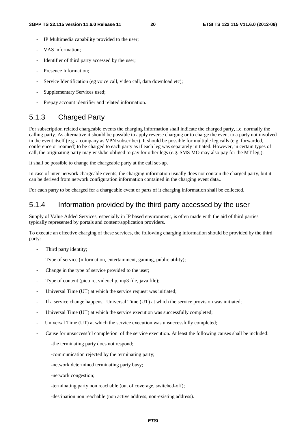- IP Multimedia capability provided to the user;
- VAS information;
- Identifier of third party accessed by the user;
- Presence Information:
- Service Identification (eg voice call, video call, data download etc);
- Supplementary Services used;
- Prepay account identifier and related information.

#### 5.1.3 Charged Party

For subscription related chargeable events the charging information shall indicate the charged party, i.e. normally the calling party. As alternative it should be possible to apply reverse charging or to charge the event to a party not involved in the event itself (e.g. a company as VPN subscriber). It should be possible for multiple leg calls (e.g. forwarded, conference or roamed) to be charged to each party as if each leg was separately initiated. However, in certain types of call, the originating party may wish/be obliged to pay for other legs (e.g. SMS MO may also pay for the MT leg.).

It shall be possible to change the chargeable party at the call set-up.

In case of inter-network chargeable events, the charging information usually does not contain the charged party, but it can be derived from network configuration information contained in the charging event data..

For each party to be charged for a chargeable event or parts of it charging information shall be collected.

#### 5.1.4 Information provided by the third party accessed by the user

Supply of Value Added Services, especially in IP based environment, is often made with the aid of third parties typically represented by portals and content/application providers.

To execute an effective charging of these services, the following charging information should be provided by the third party:

- Third party identity;
- Type of service (information, entertainment, gaming, public utility);
- Change in the type of service provided to the user;
- Type of content (picture, videoclip, mp3 file, java file);
- Universal Time (UT) at which the service request was initiated;
- If a service change happens, Universal Time (UT) at which the service provision was initiated;
- Universal Time (UT) at which the service execution was successfully completed;
- Universal Time (UT) at which the service execution was unsuccessfully completed;
- Cause for unsuccessful completion of the service execution. At least the following causes shall be included:

-the terminating party does not respond;

-communication rejected by the terminating party;

-network determined terminating party busy;

-network congestion;

-terminating party non reachable (out of coverage, switched-off);

-destination non reachable (non active address, non-existing address).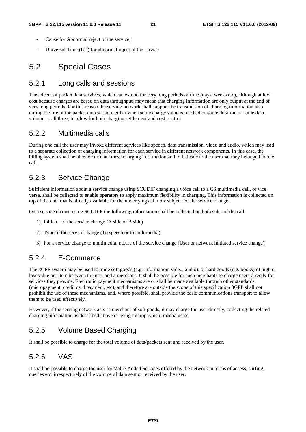- Cause for Abnormal reject of the service:
- Universal Time (UT) for abnormal reject of the service

### 5.2 Special Cases

#### 5.2.1 Long calls and sessions

The advent of packet data services, which can extend for very long periods of time (days, weeks etc), although at low cost because charges are based on data throughput, may mean that charging information are only output at the end of very long periods. For this reason the serving network shall support the transmission of charging information also during the life of the packet data session, either when some charge value is reached or some duration or some data volume or all three, to allow for both charging settlement and cost control.

#### 5.2.2 Multimedia calls

During one call the user may invoke different services like speech, data transmission, video and audio, which may lead to a separate collection of charging information for each service in different network components. In this case, the billing system shall be able to correlate these charging information and to indicate to the user that they belonged to one call.

#### 5.2.3 Service Change

Sufficient information about a service change using SCUDIF changing a voice call to a CS multimedia call, or vice versa, shall be collected to enable operators to apply maximum flexibility in charging. This information is collected on top of the data that is already available for the underlying call now subject for the service change.

On a service change using SCUDIF the following information shall be collected on both sides of the call:

- 1) Initiator of the service change (A side or B side)
- 2) Type of the service change (To speech or to multimedia)
- 3) For a service change to multimedia: nature of the service change (User or network initiated service change)

#### 5.2.4 E-Commerce

The 3GPP system may be used to trade soft goods (e.g. information, video, audio), or hard goods (e.g. books) of high or low value per item between the user and a merchant. It shall be possible for such merchants to charge users directly for services they provide. Electronic payment mechanisms are or shall be made available through other standards (micropayment, credit card payment, etc), and therefore are outside the scope of this specification 3GPP shall not prohibit the use of these mechanisms, and, where possible, shall provide the basic communications transport to allow them to be used effectively.

However, if the serving network acts as merchant of soft goods, it may charge the user directly, collecting the related charging information as described above or using micropayment mechanisms.

#### 5.2.5 Volume Based Charging

It shall be possible to charge for the total volume of data/packets sent and received by the user.

#### 5.2.6 VAS

It shall be possible to charge the user for Value Added Services offered by the network in terms of access, surfing, queries etc. irrespectively of the volume of data sent or received by the user.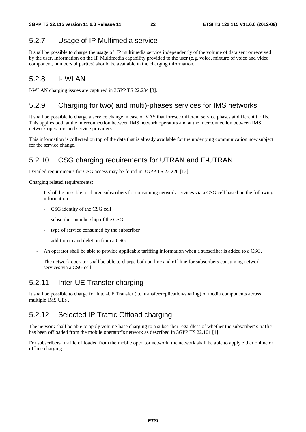### 5.2.7 Usage of IP Multimedia service

It shall be possible to charge the usage of IP multimedia service independently of the volume of data sent or received by the user. Information on the IP Multimedia capability provided to the user (e.g. voice, mixture of voice and video component, numbers of parties) should be available in the charging information.

#### 5.2.8 I- WLAN

I-WLAN charging issues are captured in 3GPP TS 22.234 [3].

#### 5.2.9 Charging for two( and multi)-phases services for IMS networks

It shall be possible to charge a service change in case of VAS that foresee different service phases at different tariffs. This applies both at the interconnection between IMS network operators and at the interconnection between IMS network operators and service providers.

This information is collected on top of the data that is already available for the underlying communication now subject for the service change.

### 5.2.10 CSG charging requirements for UTRAN and E-UTRAN

Detailed requirements for CSG access may be found in 3GPP TS 22.220 [12].

Charging related requirements:

- It shall be possible to charge subscribers for consuming network services via a CSG cell based on the following information:
	- CSG identity of the CSG cell
	- subscriber membership of the CSG
	- type of service consumed by the subscriber
	- addition to and deletion from a CSG
- An operator shall be able to provide applicable tariffing information when a subscriber is added to a CSG.
- The network operator shall be able to charge both on-line and off-line for subscribers consuming network services via a CSG cell.

### 5.2.11 Inter-UE Transfer charging

It shall be possible to charge for Inter-UE Transfer (i.e. transfer/replication/sharing) of media components across multiple IMS UEs .

#### 5.2.12 Selected IP Traffic Offload charging

The network shall be able to apply volume-base charging to a subscriber regardless of whether the subscriber"s traffic has been offloaded from the mobile operator"s network as described in 3GPP TS 22.101 [1].

For subscribers" traffic offloaded from the mobile operator network, the network shall be able to apply either online or offline charging.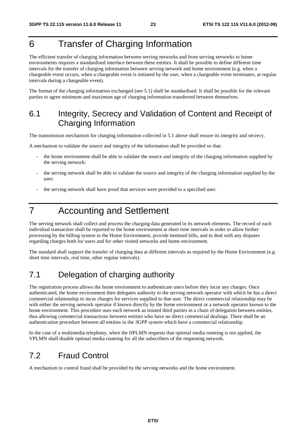### 6 Transfer of Charging Information

The efficient transfer of charging information between serving networks and from serving networks to home environments requires a standardised interface between these entities. It shall be possible to define different time intervals for the transfer of charging information between serving network and home environment (e.g. when a chargeable event occurs, when a chargeable event is initiated by the user, when a chargeable event terminates, at regular intervals during a chargeable event).

The format of the charging information exchanged (see 5.1) shall be standardised. It shall be possible for the relevant parties to agree minimum and maximum age of charging information transferred between themselves.

### 6.1 Integrity, Secrecy and Validation of Content and Receipt of Charging Information

The transmission mechanism for charging information collected in 5.1 above shall ensure its integrity and secrecy.

A mechanism to validate the source and integrity of the information shall be provided so that:

- the home environment shall be able to validate the source and integrity of the charging information supplied by the serving network;
- the serving network shall be able to validate the source and integrity of the charging information supplied by the user;
- the serving network shall have proof that services were provided to a specified user.

### 7 Accounting and Settlement

The serving network shall collect and process the charging data generated in its network elements. The record of each individual transaction shall be reported to the home environment at short time intervals in order to allow further processing by the billing system in the Home Environment, provide itemised bills, and to deal with any disputes regarding charges both for users and for other visited networks and home environment.

The standard shall support the transfer of charging data at different intervals as required by the Home Environment (e.g. short time intervals, real time, other regular intervals).

### 7.1 Delegation of charging authority

The registration process allows the home environment to authenticate users before they incur any charges. Once authenticated, the home environment then delegates authority to the serving network operator with which he has a direct commercial relationship to incur charges for services supplied to that user. The direct commercial relationship may be with either the serving network operator if known directly by the home environment or a network operator known to the home environment. This procedure uses each network as trusted third parties in a chain of delegation between entities, thus allowing commercial transactions between entities who have no direct commercial dealings. There shall be an authentication procedure between all entities in the 3GPP system which have a commercial relationship.

In the case of a multimedia telephony, when the HPLMN requests that optimal media routeing is not applied, the VPLMN shall disable optimal media routeing for all the subscribers of the requesting network.

### 7.2 Fraud Control

A mechanism to control fraud shall be provided by the serving networks and the home environment.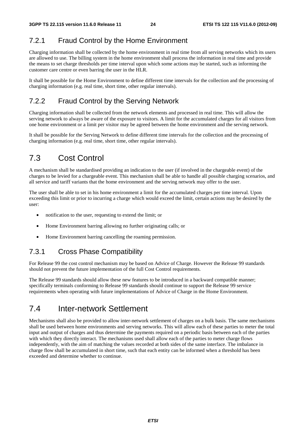#### 7.2.1 Fraud Control by the Home Environment

Charging information shall be collected by the home environment in real time from all serving networks which its users are allowed to use. The billing system in the home environment shall process the information in real time and provide the means to set charge thresholds per time interval upon which some actions may be started, such as informing the customer care centre or even barring the user in the HLR.

It shall be possible for the Home Environment to define different time intervals for the collection and the processing of charging information (e.g. real time, short time, other regular intervals).

#### 7.2.2 Fraud Control by the Serving Network

Charging information shall be collected from the network elements and processed in real time. This will allow the serving network to always be aware of the exposure to visitors. A limit for the accumulated charges for all visitors from one home environment or a limit per visitor may be agreed between the home environment and the serving network.

It shall be possible for the Serving Network to define different time intervals for the collection and the processing of charging information (e.g. real time, short time, other regular intervals).

### 7.3 Cost Control

A mechanism shall be standardised providing an indication to the user (if involved in the chargeable event) of the charges to be levied for a chargeable event. This mechanism shall be able to handle all possible charging scenarios, and all service and tariff variants that the home environment and the serving network may offer to the user.

The user shall be able to set in his home environment a limit for the accumulated charges per time interval. Upon exceeding this limit or prior to incurring a charge which would exceed the limit, certain actions may be desired by the user:

- notification to the user, requesting to extend the limit; or
- Home Environment barring allowing no further originating calls; or
- Home Environment barring cancelling the roaming permission.

#### 7.3.1 Cross Phase Compatibility

For Release 99 the cost control mechanism may be based on Advice of Charge. However the Release 99 standards should not prevent the future implementation of the full Cost Control requirements.

The Release 99 standards should allow these new features to be introduced in a backward compatible manner; specifically terminals conforming to Release 99 standards should continue to support the Release 99 service requirements when operating with future implementations of Advice of Charge in the Home Environment.

### 7.4 Inter-network Settlement

Mechanisms shall also be provided to allow inter-network settlement of charges on a bulk basis. The same mechanisms shall be used between home environments and serving networks. This will allow each of these parties to meter the total input and output of charges and thus determine the payments required on a periodic basis between each of the parties with which they directly interact. The mechanisms used shall allow each of the parties to meter charge flows independently, with the aim of matching the values recorded at both sides of the same interface. The imbalance in charge flow shall be accumulated in short time, such that each entity can be informed when a threshold has been exceeded and determine whether to continue.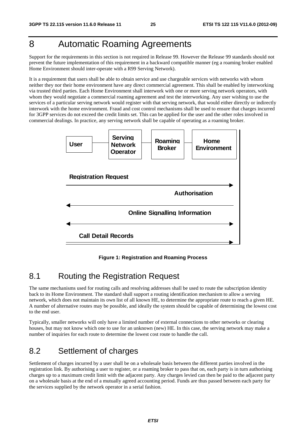### 8 Automatic Roaming Agreements

Support for the requirements in this section is not required in Release 99. However the Release 99 standards should not prevent the future implementation of this requirement in a backward compatible manner (eg a roaming broker enabled Home Environment should inter-operate with a R99 Serving Network).

It is a requirement that users shall be able to obtain service and use chargeable services with networks with whom neither they nor their home environment have any direct commercial agreement. This shall be enabled by interworking via trusted third parties. Each Home Environment shall interwork with one or more serving network operators, with whom they would negotiate a commercial roaming agreement and test the interworking. Any user wishing to use the services of a particular serving network would register with that serving network, that would either directly or indirectly interwork with the home environment. Fraud and cost control mechanisms shall be used to ensure that charges incurred for 3GPP services do not exceed the credit limits set. This can be applied for the user and the other roles involved in commercial dealings. In practice, any serving network shall be capable of operating as a roaming broker.



**Figure 1: Registration and Roaming Process** 

### 8.1 Routing the Registration Request

The same mechanisms used for routing calls and resolving addresses shall be used to route the subscription identity back to its Home Environment. The standard shall support a routing identification mechanism to allow a serving network, which does not maintain its own list of all known HE, to determine the appropriate route to reach a given HE. A number of alternative routes may be possible, and ideally the system should be capable of determining the lowest cost to the end user.

Typically, smaller networks will only have a limited number of external connections to other networks or clearing houses, but may not know which one to use for an unknown (new) HE. In this case, the serving network may make a number of inquiries for each route to determine the lowest cost route to handle the call.

### 8.2 Settlement of charges

Settlement of charges incurred by a user shall be on a wholesale basis between the different parties involved in the registration link. By authorising a user to register, or a roaming broker to pass that on, each party is in turn authorising charges up to a maximum credit limit with the adjacent party. Any charges levied can then be paid to the adjacent party on a wholesale basis at the end of a mutually agreed accounting period. Funds are thus passed between each party for the services supplied by the network operator in a serial fashion.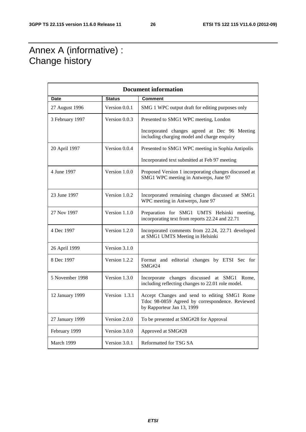### Annex A (informative) : Change history

| <b>Document information</b> |               |                                                                                                                               |  |  |  |  |  |  |
|-----------------------------|---------------|-------------------------------------------------------------------------------------------------------------------------------|--|--|--|--|--|--|
| Date                        | <b>Status</b> | <b>Comment</b>                                                                                                                |  |  |  |  |  |  |
| 27 August 1996              | Version 0.0.1 | SMG 1 WPC output draft for editing purposes only                                                                              |  |  |  |  |  |  |
| 3 February 1997             | Version 0.0.3 | Presented to SMG1 WPC meeting, London                                                                                         |  |  |  |  |  |  |
|                             |               | Incorporated changes agreed at Dec 96 Meeting<br>including charging model and charge enquiry                                  |  |  |  |  |  |  |
| 20 April 1997               | Version 0.0.4 | Presented to SMG1 WPC meeting in Sophia Antipolis                                                                             |  |  |  |  |  |  |
|                             |               | Incorporated text submitted at Feb 97 meeting                                                                                 |  |  |  |  |  |  |
| 4 June 1997                 | Version 1.0.0 | Proposed Version 1 incorporating changes discussed at<br>SMG1 WPC meeting in Antwerps, June 97                                |  |  |  |  |  |  |
| 23 June 1997                | Version 1.0.2 | Incorporated remaining changes discussed at SMG1<br>WPC meeting in Antwerps, June 97                                          |  |  |  |  |  |  |
| 27 Nov 1997                 | Version 1.1.0 | Preparation for SMG1 UMTS Helsinki meeting,<br>incorporating text from reports 22.24 and 22.71                                |  |  |  |  |  |  |
| 4 Dec 1997                  | Version 1.2.0 | Incorporated comments from 22.24, 22.71 developed<br>at SMG1 UMTS Meeting in Helsinki                                         |  |  |  |  |  |  |
| 26 April 1999               | Version 3.1.0 |                                                                                                                               |  |  |  |  |  |  |
| 8 Dec 1997                  | Version 1.2.2 | Format and editorial changes by ETSI Sec for<br><b>SMG#24</b>                                                                 |  |  |  |  |  |  |
| 5 November 1998             | Version 1.3.0 | Incorporate changes discussed at SMG1 Rome,<br>including reflecting changes to 22.01 role model.                              |  |  |  |  |  |  |
| 12 January 1999             | Version 1.3.1 | Accept Changes and send to editing SMG1 Rome<br>Tdoc 98-0859 Agreed by correspondence. Reviewed<br>by Rapporteur Jan 13, 1999 |  |  |  |  |  |  |
| 27 January 1999             | Version 2.0.0 | To be presented at SMG#28 for Approval                                                                                        |  |  |  |  |  |  |
| February 1999               | Version 3.0.0 | Approved at SMG#28                                                                                                            |  |  |  |  |  |  |
| March 1999                  | Version 3.0.1 | Reformatted for TSG SA                                                                                                        |  |  |  |  |  |  |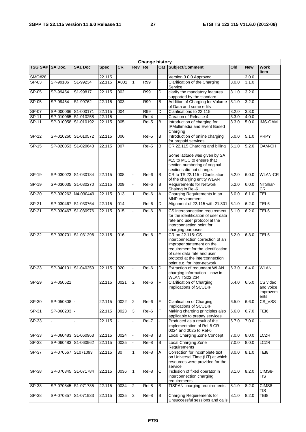| <b>Change history</b> |                     |                |             |                  |                |            |                |                                                                                                                                                                                                                          |       |            |                                           |
|-----------------------|---------------------|----------------|-------------|------------------|----------------|------------|----------------|--------------------------------------------------------------------------------------------------------------------------------------------------------------------------------------------------------------------------|-------|------------|-------------------------------------------|
| <b>TSG SA#</b>        | <b>SA Doc.</b>      | <b>SA1 Doc</b> | <b>Spec</b> | <b>CR</b>        | Rev Rel        |            |                | Cat Subject/Comment                                                                                                                                                                                                      | Old   | <b>New</b> | <b>Work</b><br><b>Item</b>                |
| <b>SMG#28</b>         |                     |                | 22.115      |                  |                |            |                | Version 3.0.0 Approved                                                                                                                                                                                                   |       | 3.0.0      |                                           |
| $SP-03$               | SP-99106            | S1-99234       | 22.115      | A001             | $\mathbf{1}$   | <b>R99</b> | $\overline{F}$ | Clarification of the Charging<br>Service                                                                                                                                                                                 | 3.0.0 | 3.1.0      |                                           |
| $SP-05$               | SP-99454            | S1-99817       | 22.115      | $\overline{002}$ |                | <b>R99</b> | D              | clarify the mandatory features<br>supported by the standard                                                                                                                                                              | 3.1.0 | 3.2.0      |                                           |
| $SP-05$               | SP-99454            | S1-99762       | 22.115      | 003              |                | R99        | B              | Addition of Charging for Volume<br>of Data and some edits                                                                                                                                                                | 3.1.0 | 3.2.0      |                                           |
| $SP-07$               | SP-000066 S1-000171 |                | 22.115      | 004              |                | <b>R99</b> | $\overline{D}$ | Clarifications to 22.115                                                                                                                                                                                                 | 3.2.0 | 3.3.0      |                                           |
| $SP-11$               | SP-010065 S1-010258 |                | 22.115      |                  |                | Rel-4      |                | Creation of Release 4                                                                                                                                                                                                    | 3.3.0 | 4.0.0      |                                           |
| SP-11                 | SP-010058 S1-010192 |                | 22.115      | 005              |                | Rel-5      | B              | Introduction of charging for<br><b>IPMultimedia and Event Based</b><br>Charging                                                                                                                                          | 3.3.0 | 5.0.0      | <b>IMS-OAM</b>                            |
| $SP-12$               | SP-010260 S1-010572 |                | 22.115      | 006              |                | Rel-5      | $\overline{B}$ | Introduction of online charging<br>for prepaid services                                                                                                                                                                  | 5.0.0 | 5.1.0      | <b>PRPY</b>                               |
| $SP-15$               | SP-020053 S1-020643 |                | 22.115      | 007              |                | $Rel-5$    | В              | CR 22.115 Charging and billing<br>Some latitude was given by SA<br>#15 to MCC to ensure that<br>section numbering of original<br>sections did not change.                                                                | 5.1.0 | 5.2.0      | OAM-CH                                    |
| SP-19                 | SP-030023 S1-030184 |                | 22.115      | 008              |                | Rel-6      | B              | CR to TS 22.115 - Clarification<br>of the charging entity WLAN                                                                                                                                                           | 5.2.0 | 6.0.0      | <b>WLAN-CR</b>                            |
| $SP-19$               | SP-030035 S1-030270 |                | 22.115      | 009              |                | Rel-6      | B              | <b>Requirements for Network</b><br>Shairng in Rel-6                                                                                                                                                                      | 5.2.0 | 6.0.0      | NTShar-<br><b>CR</b>                      |
| $SP-20$               | SP-030263 N4-030449 |                | 22.115      | 013              | $\mathbf{1}$   | Rel-6      | Α              | Charging Requirements in an<br>MNP environment                                                                                                                                                                           | 6.0.0 | 6.1.0      | TEI                                       |
| SP-21                 | SP-030467 S1-030764 |                | 22.115      | 014              |                | Rel-6      | D              | Alignment of 22.115 with 21.801                                                                                                                                                                                          | 6.1.0 | 6.2.0      | $TEI-6$                                   |
| $SP-21$               | SP-030467 S1-030976 |                | 22.115      | 015              |                | Rel-6      | B              | CS interconnection requirement<br>for the identification of user data<br>rate and user protocol at the<br>interconnection point for<br>charging purposes                                                                 | 6.1.0 | 6.2.0      | $TEI-6$                                   |
| $SP-22$               | SP-030701 S1-031296 |                | 22.115      | 016              |                | Rel-6      | F              | CR on 22.115: CS<br>interconnection correction of an<br>improper statement on the<br>requirement for the identification<br>of user data rate and user<br>protocol at the interconnection<br>point e.g. for inter-network | 6.2.0 | 6.3.0      | <b>TEI-6</b>                              |
| SP-23                 | SP-040101 S1-040259 |                | 22.115      | 020              |                | Rel-6      | D              | Extraction of redundant WLAN<br>charging information $-$ now in<br><b>WLAN TS22.234</b>                                                                                                                                  | 6.3.0 | 6.4.0      | <b>WLAN</b>                               |
| $SP-29$               | SP-050621           |                | 22.115      | 0021             | $\overline{2}$ | Rel-6      | ĪF             | <b>Clarification of Charging</b><br>Implications of SCUDIF                                                                                                                                                               | 6.4.0 | 6.5.0      | CS video<br>and voice<br>improvem<br>ents |
| SP-30                 | SP-050808           |                | 22.115      | 0022             | 2              | Rel-6      | F              | <b>Clarification of Charging</b><br>Implications of SCUDIF                                                                                                                                                               | 6.5.0 | 6.6.0      | $\overline{\text{CS}}$ VSS                |
| $SP-31$               | SP-060203 -         |                | 22.115      | 0023             | 3              | Rel-6      | F              | Making charging principles also<br>applicable to prepay services                                                                                                                                                         | 6.6.0 | 6.7.0      | TEI6                                      |
| $SP-33$               |                     |                | 22.115      |                  |                | Rel-7      |                | Produced as a result of the<br>implementation of Rel-8 CR<br>0024 and 0025 to Rel-6                                                                                                                                      | 6.7.0 | 7.0.0      |                                           |
| $SP-33$               | SP-060483 S1-060963 |                | 22.115      | 0024             |                | Rel-8      | B              | <b>Local Charging Zone Concept</b>                                                                                                                                                                                       | 7.0.0 | 8.0.0      | <b>LCZR</b>                               |
| $SP-33$               | SP-060483 S1-060962 |                | 22.115      | 0025             |                | $Rel-8$    | В              | <b>Local Charging Zone</b><br>Requirements                                                                                                                                                                               | 7.0.0 | 8.0.0      | <b>LCZR</b>                               |
| $SP-37$               | SP-070567 S1071093  |                | 22.115      | 30               | 1              | $Rel-8$    | Α              | Correction for incomplete text<br>on Universal Time (UT) at which<br>resources were provided for the<br>service                                                                                                          | 8.0.0 | 8.1.0      | TE <sub>18</sub>                          |
| SP-38                 | SP-070845 S1-071784 |                | 22.115      | 0036             | $\mathbf{1}$   | Rel-8      | C              | Inclusion of fixed operator in<br>interconnection charging<br>requirements                                                                                                                                               | 8.1.0 | 8.2.0      | CIMS8-<br><b>TIS</b>                      |
| SP-38                 | SP-070845 S1-071785 |                | 22.115      | 0034             | $\overline{2}$ | Rel-8      | B              | <b>TISPAN</b> charging requirements                                                                                                                                                                                      | 8.1.0 | 8.2.0      | CIMS8-<br><b>TIS</b>                      |
| SP-38                 | SP-070857 S1-071933 |                | 22.115      | 0035             | $\overline{c}$ | Rel-8      | B              | <b>Charging Requirements for</b><br>Unsuccessful sessions and calls                                                                                                                                                      | 8.1.0 | 8.2.0      | TEI8                                      |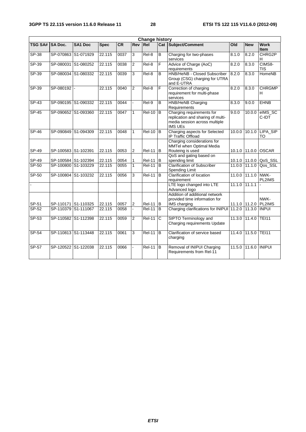| <b>Change history</b> |                                  |                |                  |              |                              |                                |                |                                                                                                                   |        |                         |                              |
|-----------------------|----------------------------------|----------------|------------------|--------------|------------------------------|--------------------------------|----------------|-------------------------------------------------------------------------------------------------------------------|--------|-------------------------|------------------------------|
| <b>TSG SA#</b>        | <b>SA Doc.</b>                   | <b>SA1 Doc</b> | <b>Spec</b>      | CR           | <b>Rev</b>                   | Re                             |                | <b>Cat Subject/Comment</b>                                                                                        | Q      | <b>New</b>              | <b>Work</b><br><b>Item</b>   |
| $SP-38$               | SP-070863 S1-071929              |                | 22.115           | 0037         | 3                            | Rel-8                          | B              | Charging for two-phases<br>services                                                                               | 8.1.0  | 8.2.0                   | CHRG2P<br>H                  |
| SP-39                 | SP-080031 S1-080252              |                | 22.115           | 0038         | $\overline{2}$               | Rel-8                          | F              | Advice of Charge (AoC)<br>requirements                                                                            | 8.2.0  | 8.3.0                   | CIMS8-<br>TIS                |
| $SP-39$               | SP-080034 S1-080332              |                | 22.115           | 0039         | 3                            | $ReI-8$                        | B              | HNB/HeNB - Closed Subscriber<br>Group (CSG) charging for UTRA<br>and E-UTRA                                       | 8.2.0  | 8.3.0                   | <b>HomeNB</b>                |
| $SP-39$               | SP-080192 -                      |                | 22.115           | 0040         | $\overline{2}$               | $Rel-8$                        | F              | Correction of charging<br>requirement for multi-phase<br>services                                                 | 8.2.0  | 8.3.0                   | <b>CHRGMP</b><br>H.          |
| $SP-43$               | SP-090195 S1-090332              |                | 22.115           | 0044         |                              | Rel-9                          | B              | <b>HNB/HeNB Charging</b><br>Requirements                                                                          | 8.3.0  | 9.0.0                   | <b>EHNB</b>                  |
| $SP-45$               | SP-090652 S1-093360              |                | 22.115           | 0047         | $\mathbf{1}$                 | $ReI-10$                       | B              | Charging requirements for<br>replication and sharing of multi-<br>media session across multiple<br><b>IMS UEs</b> | 9.0.0  | 10.0.0                  | elMS_SC<br>C-IDT             |
| $SP-46$               | SP-090849 S1-094309              |                | 22.115           | 0048         | $\mathbf{1}$                 | $ReI-10$                       | B              | Charging aspects for Selected<br>IP Traffic Offload                                                               |        | $10.0.0$ $10.1.0$       | LIPA_SIP<br>TO               |
| SP-49                 | SP-100583 S1-102391              |                | 22.115           | 0053         | $\overline{2}$               | <b>Rel-11</b>                  | <b>B</b>       | Charging considerations for<br>MMTel when Optimal Media<br>Routeing is used                                       |        | 10.1.0 11.0.0           | <b>OSCAR</b>                 |
|                       |                                  |                |                  |              |                              |                                |                | QoS and gating based on                                                                                           |        |                         |                              |
| SP-49<br>$SP-50$      | SP-100584 S1-102394<br>SP-100800 | S1-103229      | 22.115<br>22.115 | 0054<br>0055 | $\mathbf{1}$<br>$\mathbf{1}$ | <b>Rel-11</b><br><b>Rel-11</b> | B<br>B         | spending limit<br><b>Clarification of Subscriber</b><br>Spending Limit                                            | 11.0.0 | 10.1.0 11.0.0<br>11.1.0 | QoS SSL<br>Qos_SSL           |
| $SP-50$               | SP-100804 S1-103232              |                | 22.115           | 0056         | 3                            | <b>Rel-11</b>                  | $\overline{B}$ | Clarification of location<br>requirement                                                                          | 11.0.0 | 11.1.0                  | NWK-<br>PL2IMS               |
|                       |                                  |                |                  |              |                              |                                |                | LTE logo changed into LTE<br>Advanced logo                                                                        | 11.1.0 | 11.1.1                  |                              |
| SP-51                 | SP-110171 S1-110325              |                | 22.115           | 0057         | $\overline{2}$               | <b>Rel-11</b>                  | <b>B</b>       | Addition of additional network<br>provided time information for<br>IMS charging                                   |        |                         | NWK-<br>11.1.0 11.2.0 PL2IMS |
| $SP-52$               | SP-110379 S1-111067              |                | 22.115           | 0058         |                              | $ReI-11$                       | B              | Charging clarifications for INIPUI 11.2.0                                                                         |        | 11.3.0                  | <b>INPUI</b>                 |
| $SP-53$               | SP-110582 S1-112398              |                | 22.115           | 0059         | $\overline{2}$               | $ReI-11$                       | $\overline{c}$ | SIPTO Terminology and<br>Charging requirements Update                                                             |        | 11.3.0 11.4.0           | <b>TEI11</b>                 |
| $SP-54$               | SP-110813 S1-113448              |                | 22.115           | 0061         | 3                            | $Rel-11$                       | в              | Clarification of service based<br>charging                                                                        |        | 11.4.0 11.5.0           | <b>TEI11</b>                 |
| SP-57                 | SP-120522 S1-122038              |                | 22.115           | 0066         |                              | <b>Rel-11</b>                  | B              | Removal of INIPUI Charging<br>Requirements from Rel-11                                                            |        | 11.5.0 11.6.0           | <b>INIPUI</b>                |